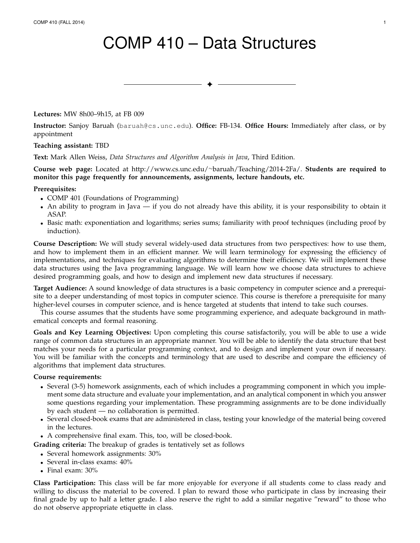# COMP 410 – Data Structures

✦

**Lectures:** MW 8h00–9h15, at FB 009

**Instructor:** Sanjoy Baruah (baruah@cs.unc.edu). **Office:** FB-134. **Office Hours:** Immediately after class, or by appointment

**Teaching assistant:** TBD

**Text:** Mark Allen Weiss, *Data Structures and Algorithm Analysis in Java*, Third Edition.

**Course web page:** Located at http://www.cs.unc.edu/<sup>∼</sup>baruah/Teaching/2014-2Fa/. **Students are required to monitor this page frequently for announcements, assignments, lecture handouts, etc.**

#### **Prerequisites:**

- COMP 401 (Foundations of Programming)
- An ability to program in Java if you do not already have this ability, it is your responsibility to obtain it ASAP.
- Basic math: exponentiation and logarithms; series sums; familiarity with proof techniques (including proof by induction).

**Course Description:** We will study several widely-used data structures from two perspectives: how to use them, and how to implement them in an efficient manner. We will learn terminology for expressing the efficiency of implementations, and techniques for evaluating algorithms to determine their efficiency. We will implement these data structures using the Java programming language. We will learn how we choose data structures to achieve desired programming goals, and how to design and implement new data structures if necessary.

**Target Audience:** A sound knowledge of data structures is a basic competency in computer science and a prerequisite to a deeper understanding of most topics in computer science. This course is therefore a prerequisite for many higher-level courses in computer science, and is hence targeted at students that intend to take such courses.

This course assumes that the students have some programming experience, and adequate background in mathematical concepts and formal reasoning.

**Goals and Key Learning Objectives:** Upon completing this course satisfactorily, you will be able to use a wide range of common data structures in an appropriate manner. You will be able to identify the data structure that best matches your needs for a particular programming context, and to design and implement your own if necessary. You will be familiar with the concepts and terminology that are used to describe and compare the efficiency of algorithms that implement data structures.

#### **Course requirements:**

- Several (3-5) homework assignments, each of which includes a programming component in which you implement some data structure and evaluate your implementation, and an analytical component in which you answer some questions regarding your implementation. These programming assignments are to be done individually by each student — no collaboration is permitted.
- Several closed-book exams that are administered in class, testing your knowledge of the material being covered in the lectures.
- A comprehensive final exam. This, too, will be closed-book.

**Grading criteria:** The breakup of grades is tentatively set as follows

- Several homework assignments: 30%
- Several in-class exams: 40%
- Final exam: 30%

**Class Participation:** This class will be far more enjoyable for everyone if all students come to class ready and willing to discuss the material to be covered. I plan to reward those who participate in class by increasing their final grade by up to half a letter grade. I also reserve the right to add a similar negative "reward" to those who do not observe appropriate etiquette in class.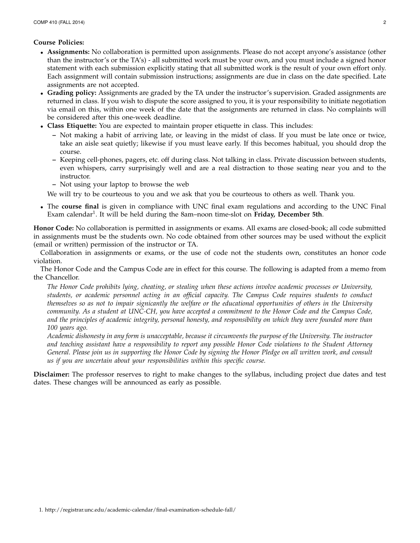### **Course Policies:**

- **Assignments:** No collaboration is permitted upon assignments. Please do not accept anyone's assistance (other than the instructor's or the TA's) - all submitted work must be your own, and you must include a signed honor statement with each submission explicitly stating that all submitted work is the result of your own effort only. Each assignment will contain submission instructions; assignments are due in class on the date specified. Late assignments are not accepted.
- **Grading policy:** Assignments are graded by the TA under the instructor's supervision. Graded assignments are returned in class. If you wish to dispute the score assigned to you, it is your responsibility to initiate negotiation via email on this, within one week of the date that the assignments are returned in class. No complaints will be considered after this one-week deadline.
- **Class Etiquette:** You are expected to maintain proper etiquette in class. This includes:
	- **–** Not making a habit of arriving late, or leaving in the midst of class. If you must be late once or twice, take an aisle seat quietly; likewise if you must leave early. If this becomes habitual, you should drop the course.
	- **–** Keeping cell-phones, pagers, etc. off during class. Not talking in class. Private discussion between students, even whispers, carry surprisingly well and are a real distraction to those seating near you and to the instructor.
	- **–** Not using your laptop to browse the web

We will try to be courteous to you and we ask that you be courteous to others as well. Thank you.

• The **course final** is given in compliance with UNC final exam regulations and according to the UNC Final Exam calendar<sup>1</sup>. It will be held during the 8am–noon time-slot on Friday, December 5th.

**Honor Code:** No collaboration is permitted in assignments or exams. All exams are closed-book; all code submitted in assignments must be the students own. No code obtained from other sources may be used without the explicit (email or written) permission of the instructor or TA.

Collaboration in assignments or exams, or the use of code not the students own, constitutes an honor code violation.

The Honor Code and the Campus Code are in effect for this course. The following is adapted from a memo from the Chancellor.

*The Honor Code prohibits lying, cheating, or stealing when these actions involve academic processes or University, students, or academic personnel acting in an official capacity. The Campus Code requires students to conduct themselves so as not to impair signicantly the welfare or the educational opportunities of others in the University community. As a student at UNC-CH, you have accepted a commitment to the Honor Code and the Campus Code, and the principles of academic integrity, personal honesty, and responsibility on which they were founded more than 100 years ago.*

*Academic dishonesty in any form is unacceptable, because it circumvents the purpose of the University. The instructor and teaching assistant have a responsibility to report any possible Honor Code violations to the Student Attorney General. Please join us in supporting the Honor Code by signing the Honor Pledge on all written work, and consult us if you are uncertain about your responsibilities within this specific course.*

**Disclaimer:** The professor reserves to right to make changes to the syllabus, including project due dates and test dates. These changes will be announced as early as possible.